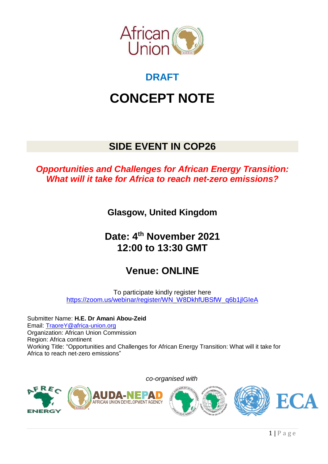

# **DRAFT**

# **CONCEPT NOTE**

# **SIDE EVENT IN COP26**

# *Opportunities and Challenges for African Energy Transition: What will it take for Africa to reach net-zero emissions?*

**Glasgow, United Kingdom**

# **Date: 4 th November 2021 12:00 to 13:30 GMT**

# **Venue: ONLINE**

To participate kindly register here [https://zoom.us/webinar/register/WN\\_W8DkhfUBSfW\\_q6b1jlGIeA](https://zoom.us/webinar/register/WN_W8DkhfUBSfW_q6b1jlGIeA)

*co-organised with*

Submitter Name: **H.E. Dr Amani Abou-Zeid** Email: [TraoreY@africa-union.org](mailto:TraoreY@africa-union.org) Organization: African Union Commission Region: Africa continent Working Title: "Opportunities and Challenges for African Energy Transition: What will it take for Africa to reach net-zero emissions"

**ENERG** 



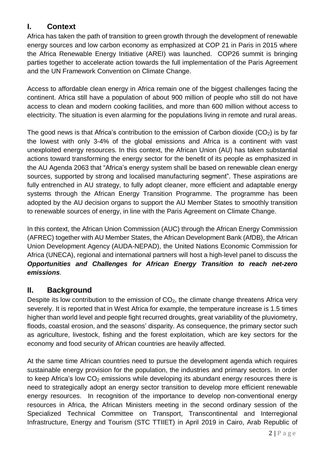# **I. Context**

Africa has taken the path of transition to green growth through the development of renewable energy sources and low carbon economy as emphasized at COP 21 in Paris in 2015 where the Africa Renewable Energy Initiative (AREI) was launched. COP26 summit is bringing parties together to accelerate action towards the full implementation of the Paris Agreement and the UN Framework Convention on Climate Change.

Access to affordable clean energy in Africa remain one of the biggest challenges facing the continent. Africa still have a population of about 900 million of people who still do not have access to clean and modern cooking facilities, and more than 600 million without access to electricity. The situation is even alarming for the populations living in remote and rural areas.

The good news is that Africa's contribution to the emission of Carbon dioxide  $(CO<sub>2</sub>)$  is by far the lowest with only 3-4% of the global emissions and Africa is a continent with vast unexploited energy resources. In this context, the African Union (AU) has taken substantial actions toward transforming the energy sector for the benefit of its people as emphasized in the AU Agenda 2063 that "Africa's energy system shall be based on renewable clean energy sources, supported by strong and localised manufacturing segment". These aspirations are fully entrenched in AU strategy, to fully adopt cleaner, more efficient and adaptable energy systems through the African Energy Transition Programme. The programme has been adopted by the AU decision organs to support the AU Member States to smoothly transition to renewable sources of energy, in line with the Paris Agreement on Climate Change.

In this context, the African Union Commission (AUC) through the African Energy Commission (AFREC) together with AU Member States, the African Development Bank (AfDB), the African Union Development Agency (AUDA-NEPAD), the United Nations Economic Commission for Africa (UNECA), regional and international partners will host a high-level panel to discuss the *Opportunities and Challenges for African Energy Transition to reach net-zero emissions*.

# **II. Background**

Despite its low contribution to the emission of  $CO<sub>2</sub>$ , the climate change threatens Africa very severely. It is reported that in West Africa for example, the temperature increase is 1.5 times higher than world level and people fight recurred droughts, great variability of the pluviometry, floods, coastal erosion, and the seasons' disparity. As consequence, the primary sector such as agriculture, livestock, fishing and the forest exploitation, which are key sectors for the economy and food security of African countries are heavily affected.

At the same time African countries need to pursue the development agenda which requires sustainable energy provision for the population, the industries and primary sectors. In order to keep Africa's low  $CO<sub>2</sub>$  emissions while developing its abundant energy resources there is need to strategically adopt an energy sector transition to develop more efficient renewable energy resources. In recognition of the importance to develop non-conventional energy resources in Africa, the African Ministers meeting in the second ordinary session of the Specialized Technical Committee on Transport, Transcontinental and Interregional Infrastructure, Energy and Tourism (STC TTIIET) in April 2019 in Cairo, Arab Republic of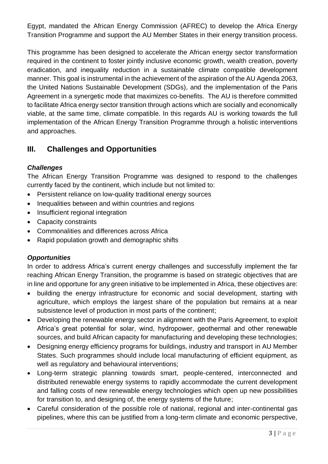Egypt, mandated the African Energy Commission (AFREC) to develop the Africa Energy Transition Programme and support the AU Member States in their energy transition process.

This programme has been designed to accelerate the African energy sector transformation required in the continent to foster jointly inclusive economic growth, wealth creation, poverty eradication, and inequality reduction in a sustainable climate compatible development manner. This goal is instrumental in the achievement of the aspiration of the AU Agenda 2063, the United Nations Sustainable Development (SDGs), and the implementation of the Paris Agreement in a synergetic mode that maximizes co-benefits. The AU is therefore committed to facilitate Africa energy sector transition through actions which are socially and economically viable, at the same time, climate compatible. In this regards AU is working towards the full implementation of the African Energy Transition Programme through a holistic interventions and approaches.

# **III. Challenges and Opportunities**

#### *Challenges*

The African Energy Transition Programme was designed to respond to the challenges currently faced by the continent, which include but not limited to:

- Persistent reliance on low-quality traditional energy sources
- Inequalities between and within countries and regions
- Insufficient regional integration
- Capacity constraints
- Commonalities and differences across Africa
- Rapid population growth and demographic shifts

### *Opportunities*

In order to address Africa's current energy challenges and successfully implement the far reaching African Energy Transition, the programme is based on strategic objectives that are in line and opportune for any green initiative to be implemented in Africa, these objectives are:

- building the energy infrastructure for economic and social development, starting with agriculture, which employs the largest share of the population but remains at a near subsistence level of production in most parts of the continent;
- Developing the renewable energy sector in alignment with the Paris Agreement, to exploit Africa's great potential for solar, wind, hydropower, geothermal and other renewable sources, and build African capacity for manufacturing and developing these technologies;
- Designing energy efficiency programs for buildings, industry and transport in AU Member States. Such programmes should include local manufacturing of efficient equipment, as well as regulatory and behavioural interventions;
- Long-term strategic planning towards smart, people-centered, interconnected and distributed renewable energy systems to rapidly accommodate the current development and falling costs of new renewable energy technologies which open up new possibilities for transition to, and designing of, the energy systems of the future;
- Careful consideration of the possible role of national, regional and inter-continental gas pipelines, where this can be justified from a long-term climate and economic perspective,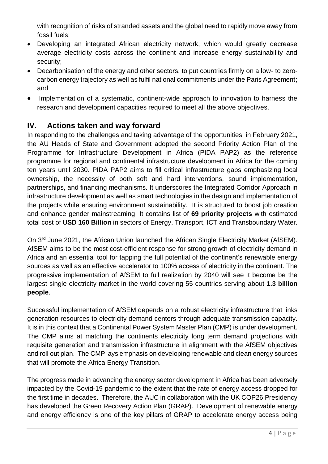with recognition of risks of stranded assets and the global need to rapidly move away from fossil fuels;

- Developing an integrated African electricity network, which would greatly decrease average electricity costs across the continent and increase energy sustainability and security;
- Decarbonisation of the energy and other sectors, to put countries firmly on a low- to zerocarbon energy trajectory as well as fulfil national commitments under the Paris Agreement; and
- Implementation of a systematic, continent-wide approach to innovation to harness the research and development capacities required to meet all the above objectives.

### **IV. Actions taken and way forward**

In responding to the challenges and taking advantage of the opportunities, in February 2021, the AU Heads of State and Government adopted the second Priority Action Plan of the Programme for Infrastructure Development in Africa (PIDA PAP2) as the reference programme for regional and continental infrastructure development in Africa for the coming ten years until 2030. PIDA PAP2 aims to fill critical infrastructure gaps emphasizing local ownership, the necessity of both soft and hard interventions, sound implementation, partnerships, and financing mechanisms. It underscores the Integrated Corridor Approach in infrastructure development as well as smart technologies in the design and implementation of the projects while ensuring environment sustainability. It is structured to boost job creation and enhance gender mainstreaming. It contains list of **69 priority projects** with estimated total cost of **USD 160 Billion** in sectors of Energy, Transport, ICT and Transboundary Water.

On 3<sup>rd</sup> June 2021, the African Union launched the African Single Electricity Market (AfSEM). AfSEM aims to be the most cost-efficient response for strong growth of electricity demand in Africa and an essential tool for tapping the full potential of the continent's renewable energy sources as well as an effective accelerator to 100% access of electricity in the continent. The progressive implementation of AfSEM to full realization by 2040 will see it become be the largest single electricity market in the world covering 55 countries serving about **1.3 billion people**.

Successful implementation of AfSEM depends on a robust electricity infrastructure that links generation resources to electricity demand centers through adequate transmission capacity. It is in this context that a Continental Power System Master Plan (CMP) is under development. The CMP aims at matching the continents electricity long term demand projections with requisite generation and transmission infrastructure in alignment with the AfSEM objectives and roll out plan. The CMP lays emphasis on developing renewable and clean energy sources that will promote the Africa Energy Transition.

The progress made in advancing the energy sector development in Africa has been adversely impacted by the Covid-19 pandemic to the extent that the rate of energy access dropped for the first time in decades. Therefore, the AUC in collaboration with the UK COP26 Presidency has developed the Green Recovery Action Plan (GRAP). Development of renewable energy and energy efficiency is one of the key pillars of GRAP to accelerate energy access being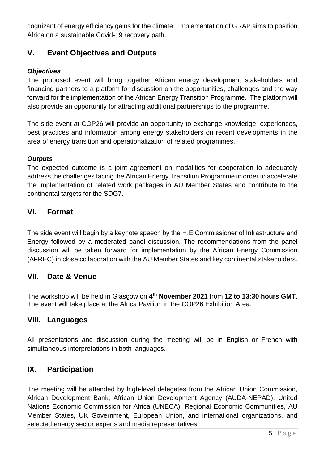cognizant of energy efficiency gains for the climate. Implementation of GRAP aims to position Africa on a sustainable Covid-19 recovery path.

# **V. Event Objectives and Outputs**

#### *Objectives*

The proposed event will bring together African energy development stakeholders and financing partners to a platform for discussion on the opportunities, challenges and the way forward for the implementation of the African Energy Transition Programme. The platform will also provide an opportunity for attracting additional partnerships to the programme.

The side event at COP26 will provide an opportunity to exchange knowledge, experiences, best practices and information among energy stakeholders on recent developments in the area of energy transition and operationalization of related programmes.

#### *Outputs*

The expected outcome is a joint agreement on modalities for cooperation to adequately address the challenges facing the African Energy Transition Programme in order to accelerate the implementation of related work packages in AU Member States and contribute to the continental targets for the SDG7.

### **VI. Format**

The side event will begin by a keynote speech by the H.E Commissioner of Infrastructure and Energy followed by a moderated panel discussion. The recommendations from the panel discussion will be taken forward for implementation by the African Energy Commission (AFREC) in close collaboration with the AU Member States and key continental stakeholders.

### **VII. Date & Venue**

The workshop will be held in Glasgow on **4 th November 2021** from **12 to 13:30 hours GMT**. The event will take place at the Africa Pavilion in the COP26 Exhibition Area.

### **VIII. Languages**

All presentations and discussion during the meeting will be in English or French with simultaneous interpretations in both languages.

### **IX. Participation**

The meeting will be attended by high-level delegates from the African Union Commission, African Development Bank, African Union Development Agency (AUDA-NEPAD), United Nations Economic Commission for Africa (UNECA), Regional Economic Communities, AU Member States, UK Government, European Union, and international organizations, and selected energy sector experts and media representatives.